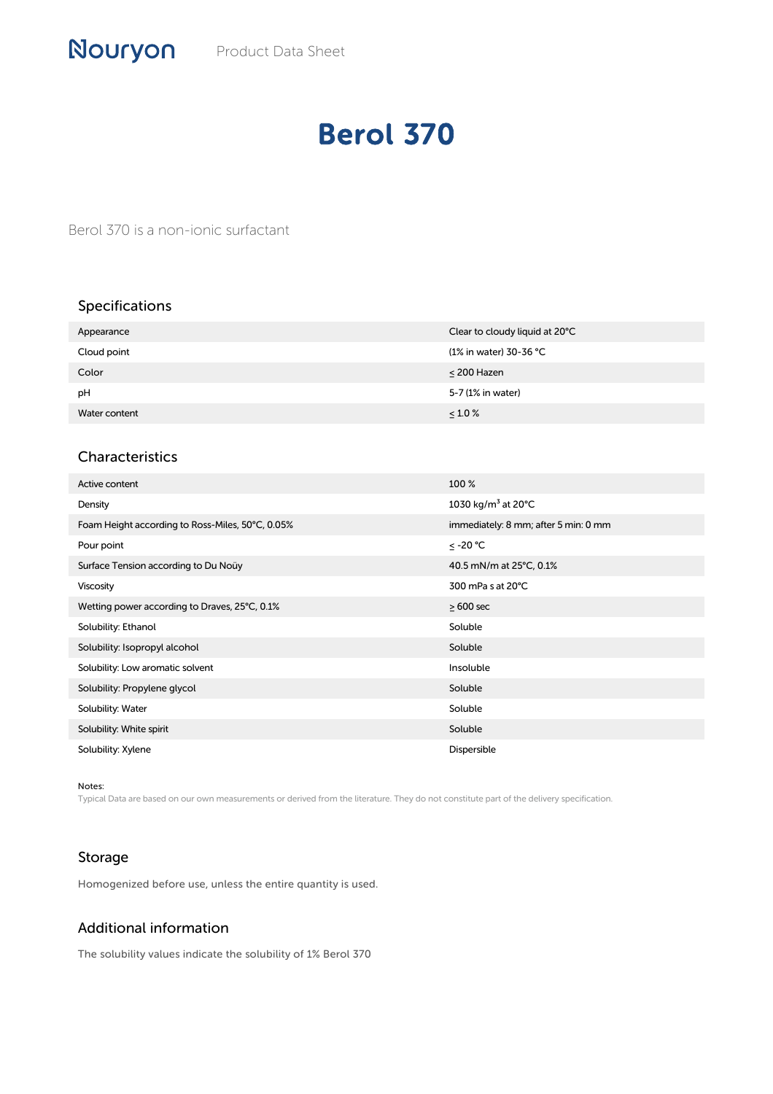# Berol 370

Berol 370 is a non-ionic surfactant

### Specifications

| Appearance    | Clear to cloudy liquid at 20°C |
|---------------|--------------------------------|
| Cloud point   | (1% in water) 30-36 °C         |
| Color         | $\leq$ 200 Hazen               |
| pH            | 5-7 (1% in water)              |
| Water content | $\leq 1.0 \%$                  |

#### Characteristics

| Active content                                   | 100 %                                     |
|--------------------------------------------------|-------------------------------------------|
| Density                                          | 1030 kg/m <sup>3</sup> at 20 $^{\circ}$ C |
| Foam Height according to Ross-Miles, 50°C, 0.05% | immediately: 8 mm; after 5 min: 0 mm      |
| Pour point                                       | ≤ -20 °C                                  |
| Surface Tension according to Du Noüy             | 40.5 mN/m at 25°C, 0.1%                   |
| <b>Viscosity</b>                                 | 300 mPa s at 20°C                         |
| Wetting power according to Draves, 25°C, 0.1%    | $\geq 600$ sec                            |
| Solubility: Ethanol                              | Soluble                                   |
| Solubility: Isopropyl alcohol                    | Soluble                                   |
| Solubility: Low aromatic solvent                 | Insoluble                                 |
| Solubility: Propylene glycol                     | Soluble                                   |
| Solubility: Water                                | Soluble                                   |
| Solubility: White spirit                         | Soluble                                   |
| Solubility: Xylene                               | Dispersible                               |

Notes:

Typical Data are based on our own measurements or derived from the literature. They do not constitute part of the delivery specification.

#### Storage

Homogenized before use, unless the entire quantity is used.

## Additional information

The solubility values indicate the solubility of 1% Berol 370